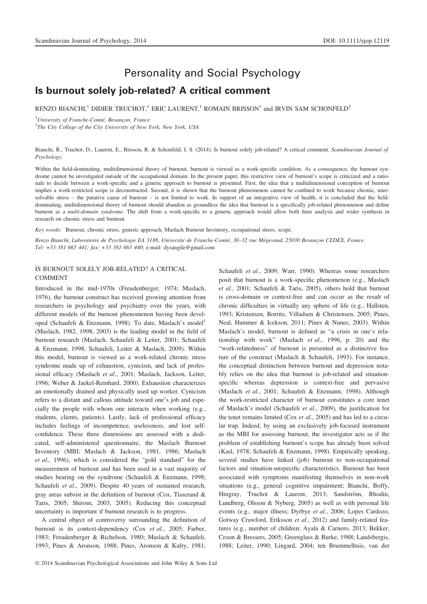# Personality and Social Psychology

## Is burnout solely job-related? A critical comment

### RENZO BIANCHI,<sup>1</sup> DIDIER TRUCHOT,<sup>1</sup> ERIC LAURENT,<sup>1</sup> ROMAIN BRISSON<sup>1</sup> and IRVIN SAM SCHONFELD<sup>2</sup>

<sup>1</sup>University of Franche-Comté, Besançon, France<br><sup>2</sup>The City College of the City University of New 1

 $2$ The City College of the City University of New York, New York, USA

Bianchi, R., Truchot, D., Laurent, E., Brisson, R. & Schonfeld, I. S. (2014). Is burnout solely job-related? A critical comment. Scandinavian Journal of Psychology.

Within the field-dominating, multidimensional theory of burnout, burnout is viewed as a work-specific condition. As a consequence, the burnout syndrome cannot be investigated outside of the occupational domain. In the present paper, this restrictive view of burnout's scope is criticized and a rationale to decide between a work-specific and a generic approach to burnout is presented. First, the idea that a multidimensional conception of burnout implies a work-restricted scope is deconstructed. Second, it is shown that the burnout phenomenon cannot be confined to work because chronic, unresolvable stress – the putative cause of burnout – is not limited to work. In support of an integrative view of health, it is concluded that the fielddominating, multidimensional theory of burnout should abandon as groundless the idea that burnout is a specifically job-related phenomenon and define burnout as a multi-domain syndrome. The shift from a work-specific to a generic approach would allow both finer analysis and wider synthesis in research on chronic stress and burnout.

Key words: Burnout, chronic stress, generic approach, Maslach Burnout Inventory, occupational stress, scope.

Renzo Bianchi, Laboratoire de Psychologie EA 3188, Université de Franche-Comté, 30-32 rue Mégevand, 25030 Besançon CEDEX, France. Tel: +33 381 665 441; fax: +33 381 665 440; e-mail: dysangile@gmail.com

## IS BURNOUT SOLELY JOB-RELATED? A CRITICAL COMMENT

Introduced in the mid-1970s (Freudenberger, 1974; Maslach, 1976), the burnout construct has received growing attention from researchers in psychology and psychiatry over the years, with different models of the burnout phenomenon having been developed (Schaufeli & Enzmann, 1998). To date, Maslach's model<sup>1</sup> (Maslach, 1982, 1998, 2003) is the leading model in the field of burnout research (Maslach, Schaufeli & Leiter, 2001; Schaufeli & Enzmann, 1998; Schaufeli, Leiter & Maslach, 2009). Within this model, burnout is viewed as a work-related chronic stress syndrome made up of exhaustion, cynicism, and lack of professional efficacy (Maslach et al., 2001; Maslach, Jackson, Leiter, 1996; Weber & Jaekel-Reinhard, 2000). Exhaustion characterizes an emotionally drained and physically used up worker. Cynicism refers to a distant and callous attitude toward one's job and especially the people with whom one interacts when working (e.g., students, clients, patients). Lastly, lack of professional efficacy includes feelings of incompetence, uselessness, and lost selfconfidence. These three dimensions are assessed with a dedicated, self-administered questionnaire, the Maslach Burnout Inventory (MBI; Maslach & Jackson, 1981, 1986; Maslach et al., 1996), which is considered the "gold standard" for the measurement of burnout and has been used in a vast majority of studies bearing on the syndrome (Schaufeli & Enzmann, 1998; Schaufeli et al., 2009). Despite 40 years of sustained research, gray areas subsist in the definition of burnout (Cox, Tisserand & Taris, 2005; Shirom, 2003, 2005). Reducing this conceptual uncertainty is important if burnout research is to progress.

A central object of controversy surrounding the definition of burnout is its context-dependency (Cox et al., 2005; Farber, 1983; Freudenberger & Richelson, 1980; Maslach & Schaufeli, 1993; Pines & Aronson, 1988; Pines, Aronson & Kafry, 1981; Schaufeli et al., 2009; Warr, 1990). Whereas some researchers posit that burnout is a work-specific phenomenon (e.g., Maslach et al., 2001; Schaufeli & Taris, 2005), others hold that burnout is cross-domain or context-free and can occur as the result of chronic difficulties in virtually any sphere of life (e.g., Hallsten, 1993; Kristensen, Borritz, Villadsen & Christensen, 2005; Pines, Neal, Hammer & Icekson, 2011; Pines & Nunes, 2003). Within Maslach's model, burnout is defined as "a crisis in one's relationship with work" (Maslach et al., 1996, p. 20) and the "work-relatedness" of burnout is presented as a distinctive feature of the construct (Maslach & Schaufeli, 1993). For instance, the conceptual distinction between burnout and depression notably relies on the idea that burnout is job-related and situationspecific whereas depression is context-free and pervasive (Maslach et al., 2001; Schaufeli & Enzmann, 1998). Although the work-restricted character of burnout constitutes a core tenet of Maslach's model (Schaufeli et al., 2009), the justification for the tenet remains limited (Cox et al., 2005) and has led to a circular trap. Indeed, by using an exclusively job-focused instrument as the MBI for assessing burnout, the investigator acts as if the problem of establishing burnout's scope has already been solved (Kasl, 1978; Schaufeli & Enzmann, 1998). Empirically speaking, several studies have linked (job) burnout to non-occupational factors and situation-unspecific characteristics. Burnout has been associated with symptoms manifesting themselves in non-work situations (e.g., general cognitive impairment; Bianchi, Boffy, Hingray, Truchot & Laurent, 2013; Sandström, Rhodin, Lundberg, Olsson & Nyberg, 2005) as well as with personal life events (e.g., major illness; Dyrbye et al., 2006; Lopes Cardozo, Gotway Crawford, Eriksson et al., 2012) and family-related features (e.g., number of children; Ayala & Carnero, 2013; Bekker, Croon & Bressers, 2005; Greenglass & Burke, 1988; Landsbergis, 1988; Leiter, 1990; Lingard, 2004; ten Brummelhuis, van der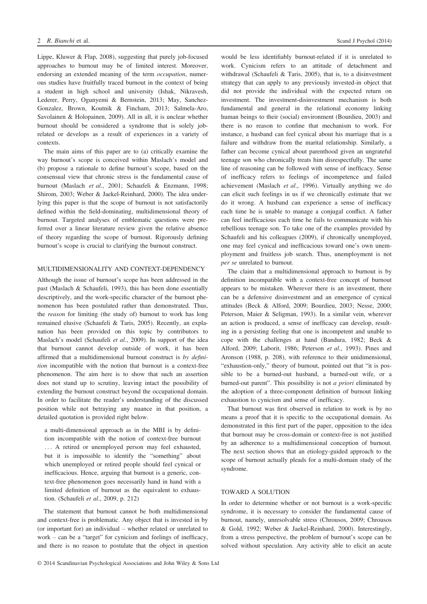Lippe, Kluwer & Flap, 2008), suggesting that purely job-focused approaches to burnout may be of limited interest. Moreover, endorsing an extended meaning of the term occupation, numerous studies have fruitfully traced burnout in the context of being a student in high school and university (Ishak, Nikravesh, Lederer, Perry, Ogunyemi & Bernstein, 2013; May, Sanchez-Gonzalez, Brown, Koutnik & Fincham, 2013; Salmela-Aro, Savolainen & Holopainen, 2009). All in all, it is unclear whether burnout should be considered a syndrome that is solely jobrelated or develops as a result of experiences in a variety of contexts.

The main aims of this paper are to (a) critically examine the way burnout's scope is conceived within Maslach's model and (b) propose a rationale to define burnout's scope, based on the consensual view that chronic stress is the fundamental cause of burnout (Maslach et al., 2001; Schaufeli & Enzmann, 1998; Shirom, 2003; Weber & Jaekel-Reinhard, 2000). The idea underlying this paper is that the scope of burnout is not satisfactorily defined within the field-dominating, multidimensional theory of burnout. Targeted analyses of emblematic questions were preferred over a linear literature review given the relative absence of theory regarding the scope of burnout. Rigorously defining burnout's scope is crucial to clarifying the burnout construct.

#### MULTIDIMENSIONALITY AND CONTEXT-DEPENDENCY

Although the issue of burnout's scope has been addressed in the past (Maslach & Schaufeli, 1993), this has been done essentially descriptively, and the work-specific character of the burnout phenomenon has been postulated rather than demonstrated. Thus, the reason for limiting (the study of) burnout to work has long remained elusive (Schaufeli & Taris, 2005). Recently, an explanation has been provided on this topic by contributors to Maslach's model (Schaufeli et al., 2009). In support of the idea that burnout cannot develop outside of work, it has been affirmed that a multidimensional burnout construct is by definition incompatible with the notion that burnout is a context-free phenomenon. The aim here is to show that such an assertion does not stand up to scrutiny, leaving intact the possibility of extending the burnout construct beyond the occupational domain. In order to facilitate the reader's understanding of the discussed position while not betraying any nuance in that position, a detailed quotation is provided right below.

a multi-dimensional approach as in the MBI is by definition incompatible with the notion of context-free burnout ... A retired or unemployed person may feel exhausted, but it is impossible to identify the "something" about which unemployed or retired people should feel cynical or inefficacious. Hence, arguing that burnout is a generic, context-free phenomenon goes necessarily hand in hand with a limited definition of burnout as the equivalent to exhaustion. (Schaufeli et al., 2009, p. 212)

The statement that burnout cannot be both multidimensional and context-free is problematic. Any object that is invested in by (or important for) an individual – whether related or unrelated to work – can be a "target" for cynicism and feelings of inefficacy, and there is no reason to postulate that the object in question would be less identifiably burnout-related if it is unrelated to work. Cynicism refers to an attitude of detachment and withdrawal (Schaufeli & Taris, 2005), that is, to a disinvestment strategy that can apply to any previously invested-in object that did not provide the individual with the expected return on investment. The investment-disinvestment mechanism is both fundamental and general in the relational economy linking human beings to their (social) environment (Bourdieu, 2003) and there is no reason to confine that mechanism to work. For instance, a husband can feel cynical about his marriage that is a failure and withdraw from the marital relationship. Similarly, a father can become cynical about parenthood given an ungrateful teenage son who chronically treats him disrespectfully. The same line of reasoning can be followed with sense of inefficacy. Sense of inefficacy refers to feelings of incompetence and failed achievement (Maslach et al., 1996). Virtually anything we do can elicit such feelings in us if we chronically estimate that we do it wrong. A husband can experience a sense of inefficacy each time he is unable to manage a conjugal conflict. A father can feel inefficacious each time he fails to communicate with his rebellious teenage son. To take one of the examples provided by Schaufeli and his colleagues (2009), if chronically unemployed, one may feel cynical and inefficacious toward one's own unemployment and fruitless job search. Thus, unemployment is not per se unrelated to burnout.

The claim that a multidimensional approach to burnout is by definition incompatible with a context-free concept of burnout appears to be mistaken. Wherever there is an investment, there can be a defensive disinvestment and an emergence of cynical attitudes (Beck & Alford, 2009; Bourdieu, 2003; Nesse, 2000; Peterson, Maier & Seligman, 1993). In a similar vein, wherever an action is produced, a sense of inefficacy can develop, resulting in a persisting feeling that one is incompetent and unable to cope with the challenges at hand (Bandura, 1982; Beck & Alford, 2009; Laborit, 1986; Peterson et al., 1993). Pines and Aronson (1988, p. 208), with reference to their unidimensional, "exhaustion-only," theory of burnout, pointed out that "it is possible to be a burned-out husband, a burned-out wife, or a burned-out parent". This possibility is not a priori eliminated by the adoption of a three-component definition of burnout linking exhaustion to cynicism and sense of inefficacy.

That burnout was first observed in relation to work is by no means a proof that it is specific to the occupational domain. As demonstrated in this first part of the paper, opposition to the idea that burnout may be cross-domain or context-free is not justified by an adherence to a multidimensional conception of burnout. The next section shows that an etiology-guided approach to the scope of burnout actually pleads for a multi-domain study of the syndrome.

## TOWARD A SOLUTION

In order to determine whether or not burnout is a work-specific syndrome, it is necessary to consider the fundamental cause of burnout, namely, unresolvable stress (Chrousos, 2009; Chrousos & Gold, 1992; Weber & Jaekel-Reinhard, 2000). Interestingly, from a stress perspective, the problem of burnout's scope can be solved without speculation. Any activity able to elicit an acute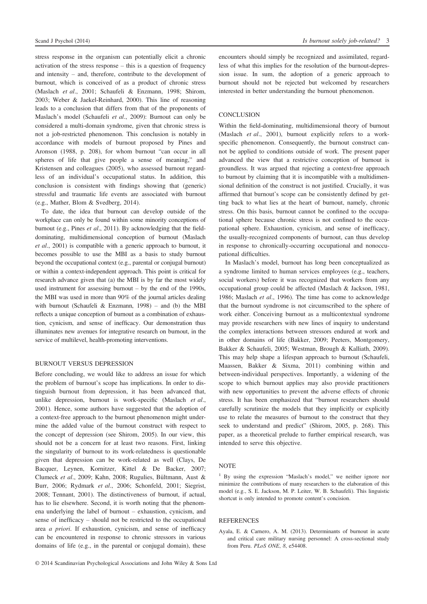stress response in the organism can potentially elicit a chronic activation of the stress response – this is a question of frequency and intensity – and, therefore, contribute to the development of burnout, which is conceived of as a product of chronic stress (Maslach et al., 2001; Schaufeli & Enzmann, 1998; Shirom, 2003; Weber & Jaekel-Reinhard, 2000). This line of reasoning leads to a conclusion that differs from that of the proponents of Maslach's model (Schaufeli et al., 2009): Burnout can only be considered a multi-domain syndrome, given that chronic stress is not a job-restricted phenomenon. This conclusion is notably in accordance with models of burnout proposed by Pines and Aronson (1988, p. 208), for whom burnout "can occur in all spheres of life that give people a sense of meaning," and Kristensen and colleagues (2005), who assessed burnout regardless of an individual's occupational status. In addition, this conclusion is consistent with findings showing that (generic) stressful and traumatic life events are associated with burnout (e.g., Mather, Blom & Svedberg, 2014).

To date, the idea that burnout can develop outside of the workplace can only be found within some minority conceptions of burnout (e.g., Pines et al., 2011). By acknowledging that the fielddominating, multidimensional conception of burnout (Maslach et al., 2001) is compatible with a generic approach to burnout, it becomes possible to use the MBI as a basis to study burnout beyond the occupational context (e.g., parental or conjugal burnout) or within a context-independent approach. This point is critical for research advance given that (a) the MBI is by far the most widely used instrument for assessing burnout – by the end of the 1990s, the MBI was used in more than 90% of the journal articles dealing with burnout (Schaufeli & Enzmann, 1998) – and (b) the MBI reflects a unique conception of burnout as a combination of exhaustion, cynicism, and sense of inefficacy. Our demonstration thus illuminates new avenues for integrative research on burnout, in the service of multilevel, health-promoting interventions.

#### BURNOUT VERSUS DEPRESSION

Before concluding, we would like to address an issue for which the problem of burnout's scope has implications. In order to distinguish burnout from depression, it has been advanced that, unlike depression, burnout is work-specific (Maslach et al., 2001). Hence, some authors have suggested that the adoption of a context-free approach to the burnout phenomenon might undermine the added value of the burnout construct with respect to the concept of depression (see Shirom, 2005). In our view, this should not be a concern for at least two reasons. First, linking the singularity of burnout to its work-relatedness is questionable given that depression can be work-related as well (Clays, De Bacquer, Leynen, Kornitzer, Kittel & De Backer, 2007; Clumeck et al., 2009; Kahn, 2008; Rugulies, Bültmann, Aust & Burr, 2006; Rydmark et al., 2006; Schonfeld, 2001; Siegrist, 2008; Tennant, 2001). The distinctiveness of burnout, if actual, has to lie elsewhere. Second, it is worth noting that the phenomena underlying the label of burnout – exhaustion, cynicism, and sense of inefficacy – should not be restricted to the occupational area a priori. If exhaustion, cynicism, and sense of inefficacy can be encountered in response to chronic stressors in various domains of life (e.g., in the parental or conjugal domain), these encounters should simply be recognized and assimilated, regardless of what this implies for the resolution of the burnout-depression issue. In sum, the adoption of a generic approach to burnout should not be rejected but welcomed by researchers interested in better understanding the burnout phenomenon.

#### **CONCLUSION**

Within the field-dominating, multidimensional theory of burnout (Maslach *et al.*, 2001), burnout explicitly refers to a workspecific phenomenon. Consequently, the burnout construct cannot be applied to conditions outside of work. The present paper advanced the view that a restrictive conception of burnout is groundless. It was argued that rejecting a context-free approach to burnout by claiming that it is incompatible with a multidimensional definition of the construct is not justified. Crucially, it was affirmed that burnout's scope can be consistently defined by getting back to what lies at the heart of burnout, namely, chronic stress. On this basis, burnout cannot be confined to the occupational sphere because chronic stress is not confined to the occupational sphere. Exhaustion, cynicism, and sense of inefficacy, the usually-recognized components of burnout, can thus develop in response to chronically-occurring occupational and nonoccupational difficulties.

In Maslach's model, burnout has long been conceptualized as a syndrome limited to human services employees (e.g., teachers, social workers) before it was recognized that workers from any occupational group could be affected (Maslach & Jackson, 1981, 1986; Maslach et al., 1996). The time has come to acknowledge that the burnout syndrome is not circumscribed to the sphere of work either. Conceiving burnout as a multicontextual syndrome may provide researchers with new lines of inquiry to understand the complex interactions between stressors endured at work and in other domains of life (Bakker, 2009; Peeters, Montgomery, Bakker & Schaufeli, 2005; Westman, Brough & Kalliath, 2009). This may help shape a lifespan approach to burnout (Schaufeli, Maassen, Bakker & Sixma, 2011) combining within and between-individual perspectives. Importantly, a widening of the scope to which burnout applies may also provide practitioners with new opportunities to prevent the adverse effects of chronic stress. It has been emphasized that "burnout researchers should carefully scrutinize the models that they implicitly or explicitly use to relate the measures of burnout to the construct that they seek to understand and predict" (Shirom, 2005, p. 268). This paper, as a theoretical prelude to further empirical research, was intended to serve this objective.

## **NOTE**

<sup>1</sup> By using the expression "Maslach's model," we neither ignore nor minimize the contributions of many researchers to the elaboration of this model (e.g., S. E. Jackson, M. P. Leiter, W. B. Schaufeli). This linguistic shortcut is only intended to promote content's concision.

#### **REFERENCES**

Ayala, E. & Carnero, A. M. (2013). Determinants of burnout in acute and critical care military nursing personnel: A cross-sectional study from Peru. PLoS ONE, 8, e54408.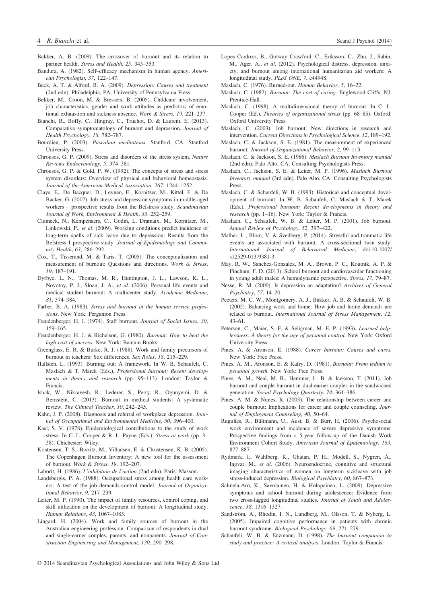- Bakker, A. B. (2009). The crossover of burnout and its relation to partner health. Stress and Health, 25, 343–353.
- Bandura, A. (1982). Self–efficacy mechanism in human agency. American Psychologist, 37, 122–147.
- Beck, A. T. & Alford, B. A. (2009). Depression: Causes and treatment (2nd edn). Philadelphia, PA: University of Pennsylvania Press.
- Bekker, M., Croon, M. & Bressers, B. (2005). Childcare involvement, job characteristics, gender and work attitudes as predictors of emotional exhaustion and sickness absence. Work & Stress, 19, 221–237.
- Bianchi, R., Boffy, C., Hingray, C., Truchot, D. & Laurent, E. (2013). Comparative symptomatology of burnout and depression. Journal of Health Psychology, 18, 782–787.
- Bourdieu, P. (2003). Pascalian meditations. Stanford, CA: Stanford University Press.
- Chrousos, G. P. (2009). Stress and disorders of the stress system. Nature Reviews Endocrinology, 5, 374–381.
- Chrousos, G. P. & Gold, P. W. (1992). The concepts of stress and stress system disorders: Overview of physical and behavioral homeostasis. Journal of the American Medical Association, 267, 1244–1252.
- Clays, E., De Bacquer, D., Leynen, F., Kornitzer, M., Kittel, F. & De Backer, G. (2007). Job stress and depression symptoms in middle-aged workers - prospective results from the Belstress study. Scandinavian Journal of Work, Environment & Health, 33, 252–259.
- Clumeck, N., Kempenaers, C., Godin, I., Dramaix, M., Kornitzer, M., Linkowski, P., et al. (2009). Working conditions predict incidence of long-term spells of sick leave due to depression: Results from the Belstress I prospective study. Journal of Epidemiology and Community Health, 63, 286–292.
- Cox, T., Tisserand, M. & Taris, T. (2005). The conceptualization and measurement of burnout: Questions and directions. Work & Stress, 19, 187–191.
- Dyrbye, L. N., Thomas, M. R., Huntington, J. L., Lawson, K. L., Novotny, P. J., Sloan, J. A., et al. (2006). Personal life events and medical student burnout: A multicenter study. Academic Medicine, 81, 374–384.
- Farber, B. A. (1983). Stress and burnout in the human service professions. New York: Pergamon Press.
- Freudenberger, H. J. (1974). Staff burnout. Journal of Social Issues, 30, 159–165.
- Freudenberger, H. J. & Richelson, G. (1980). Burnout: How to beat the high cost of success. New York: Bantam Books.
- Greenglass, E. R. & Burke, R. J. (1988). Work and family precursors of burnout in teachers: Sex differences. Sex Roles, 18, 215–229.
- Hallsten, L. (1993). Burning out: A framework. In W. B. Schaufeli, C. Maslach & T. Marek (Eds.), Professional burnout: Recent developments in theory and research (pp. 95–113). London: Taylor & Francis.
- Ishak, W., Nikravesh, R., Lederer, S., Perry, R., Ogunyemi, D. & Bernstein, C. (2013). Burnout in medical students: A systematic review. The Clinical Teacher, 10, 242–245.
- Kahn, J. P. (2008). Diagnosis and referral of workplace depression. Journal of Occupational and Environmental Medicine, 50, 396–400.
- Kasl, S. V. (1978). Epidemiological contributions to the study of work stress. In C. L. Cooper & R. L. Payne (Eds.), Stress at work (pp. 3– 38). Chichester: Wiley.
- Kristensen, T. S., Borritz, M., Villadsen, E. & Christensen, K. B. (2005). The Copenhagen Burnout Inventory: A new tool for the assessment of burnout. Work & Stress, 19, 192–207.
- Laborit, H. (1986). L'inhibition de l'action (2nd edn). Paris: Masson.
- Landsbergis, P. A. (1988). Occupational stress among health care workers: A test of the job demands-control model. Journal of Organizational Behavior, 9, 217–239.
- Leiter, M. P. (1990). The impact of family resources, control coping, and skill utilization on the development of burnout: A longitudinal study. Human Relations, 43, 1067–1083.
- Lingard, H. (2004). Work and family sources of burnout in the Australian engineering profession: Comparison of respondents in dual and single-earner couples, parents, and nonparents. Journal of Construction Engineering and Management, 130, 290–298.
- Lopes Cardozo, B., Gotway Crawford, C., Eriksson, C., Zhu, J., Sabin, M., Ager, A., et al. (2012). Psychological distress, depression, anxiety, and burnout among international humanitarian aid workers: A longitudinal study. PLoS ONE, 7, e44948.
- Maslach, C. (1976). Burned-out. Human Behavior, 5, 16–22.
- Maslach, C. (1982). Burnout: The cost of caring. Englewood Cliffs, NJ: Prentice-Hall.
- Maslach, C. (1998). A multidimensional theory of burnout. In C. L. Cooper (Ed.), Theories of organizational stress (pp. 68–85). Oxford: Oxford University Press.
- Maslach, C. (2003). Job burnout: New directions in research and intervention. Current Directions in Psychological Science, 12, 189–192.
- Maslach, C. & Jackson, S. E. (1981). The measurement of experienced burnout. Journal of Organizational Behavior, 2, 99–113.
- Maslach, C. & Jackson, S. E. (1986). Maslach Burnout Inventory manual (2nd edn). Palo Alto, CA: Consulting Psychologists Press.
- Maslach, C., Jackson, S. E. & Leiter, M. P. (1996). Maslach Burnout Inventory manual (3rd edn). Palo Alto, CA: Consulting Psychologists Press.
- Maslach, C. & Schaufeli, W. B. (1993). Historical and conceptual development of burnout. In W. B. Schaufeli, C. Maslach & T. Marek (Eds.), Professional burnout: Recent developments in theory and research (pp. 1–16). New York: Taylor & Francis.
- Maslach, C., Schaufeli, W. B. & Leiter, M. P. (2001). Job burnout. Annual Review of Psychology, 52, 397–422.
- Mather, L., Blom, V. & Svedberg, P. (2014). Stressful and traumatic life events are associated with burnout: A cross-sectional twin study. International Journal of Behavioral Medicine, doi:10.1007/ s12529-013-9381-3.
- May, R. W., Sanchez-Gonzalez, M. A., Brown, P. C., Koutnik, A. P. & Fincham, F. D. (2013). School burnout and cardiovascular functioning in young adult males: A hemodynamic perspective. Stress, 17, 79–87.
- Nesse, R. M. (2000). Is depression an adaptation? Archives of General Psychiatry, 57, 14–20.
- Peeters, M. C. W., Montgomery, A. J., Bakker, A. B. & Schaufeli, W. B. (2005). Balancing work and home: How job and home demands are related to burnout. International Journal of Stress Management, 12, 43–61.
- Peterson, C., Maier, S. F. & Seligman, M. E. P. (1993). Learned helplessness: A theory for the age of personal control. New York: Oxford University Press.
- Pines, A. & Aronson, E. (1988). Career burnout: Causes and cures. New York: Free Press.
- Pines, A. M., Aronson, E. & Kafry, D. (1981). Burnout: From tedium to personal growth. New York: Free Press.
- Pines, A. M., Neal, M. B., Hammer, L. B. & Icekson, T. (2011). Job burnout and couple burnout in dual-earner couples in the sandwiched generation. Social Psychology Quarterly, 74, 361–386.
- Pines, A. M. & Nunes, R. (2003). The relationship between career and couple burnout: Implications for career and couple counseling. Journal of Employment Counseling, 40, 50–64.
- Rugulies, R., Bültmann, U., Aust, B. & Burr, H. (2006). Psychosocial work environment and incidence of severe depressive symptoms: Prospective findings from a 5-year follow-up of the Danish Work Environment Cohort Study. American Journal of Epidemiology, 163, 877–887.
- Rydmark, I., Wahlberg, K., Ghatan, P. H., Modell, S., Nygren, Å., Ingvar, M., et al. (2006). Neuroendocrine, cognitive and structural imaging characteristics of women on longterm sickleave with job stress-induced depression. Biological Psychiatry, 60, 867–873.
- Salmela-Aro, K., Savolainen, H. & Holopainen, L. (2009). Depressive symptoms and school burnout during adolescence: Evidence from two cross-lagged longitudinal studies. Journal of Youth and Adolescence, 38, 1316–1327.
- Sandström, A., Rhodin, I. N., Lundberg, M., Olsson, T. & Nyberg, L. (2005). Impaired cognitive performance in patients with chronic burnout syndrome. Biological Psychology, 69, 271–279.
- Schaufeli, W. B. & Enzmann, D. (1998). The burnout companion to study and practice: A critical analysis. London: Taylor & Francis.